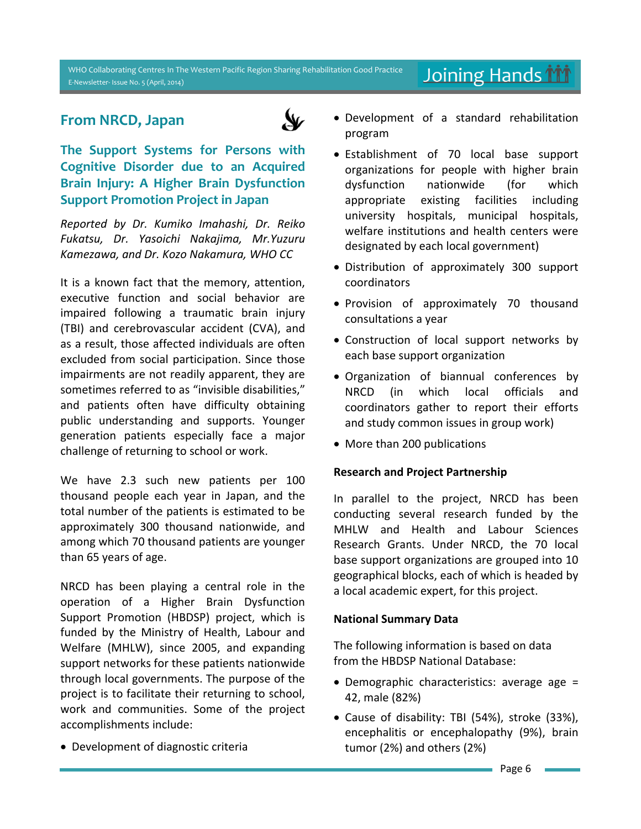#### WHO Collaborating Centres In The Western Pacific Region Sharing Rehabilitation Good Practice E-Newsletter- Issue No. 5 (April, 2014)

# **From NRCD, Japan**



**The Support Systems for Persons with Cognitive Disorder due to an Acquired Brain Injury: A Higher Brain Dysfunction Support Promotion Project in Japan**

*Reported by Dr. Kumiko Imahashi, Dr. Reiko Fukatsu, Dr. Yasoichi Nakajima, Mr.Yuzuru Kamezawa, and Dr. Kozo Nakamura, WHO CC*

It is a known fact that the memory, attention, executive function and social behavior are impaired following a traumatic brain injury (TBI) and cerebrovascular accident (CVA), and as a result, those affected individuals are often excluded from social participation. Since those impairments are not readily apparent, they are sometimes referred to as "invisible disabilities," and patients often have difficulty obtaining public understanding and supports. Younger generation patients especially face a major challenge of returning to school or work.

We have 2.3 such new patients per 100 thousand people each year in Japan, and the total number of the patients is estimated to be approximately 300 thousand nationwide, and among which 70 thousand patients are younger than 65 years of age.

NRCD has been playing a central role in the operation of a Higher Brain Dysfunction Support Promotion (HBDSP) project, which is funded by the Ministry of Health, Labour and Welfare (MHLW), since 2005, and expanding support networks for these patients nationwide through local governments. The purpose of the project is to facilitate their returning to school, work and communities. Some of the project accomplishments include:

Development of diagnostic criteria

 Development of a standard rehabilitation program

Joining Hands **M** 

- Establishment of 70 local base support organizations for people with higher brain dysfunction nationwide (for which appropriate existing facilities including university hospitals, municipal hospitals, welfare institutions and health centers were designated by each local government)
- Distribution of approximately 300 support coordinators
- Provision of approximately 70 thousand consultations a year
- Construction of local support networks by each base support organization
- Organization of biannual conferences by NRCD (in which local officials and coordinators gather to report their efforts and study common issues in group work)
- More than 200 publications

### **Research and Project Partnership**

In parallel to the project, NRCD has been conducting several research funded by the MHLW and Health and Labour Sciences Research Grants. Under NRCD, the 70 local base support organizations are grouped into 10 geographical blocks, each of which is headed by a local academic expert, for this project.

### **National Summary Data**

The following information is based on data from the HBDSP National Database:

- Demographic characteristics: average age = 42, male (82%)
- Cause of disability: TBI (54%), stroke (33%), encephalitis or encephalopathy (9%), brain tumor (2%) and others (2%)